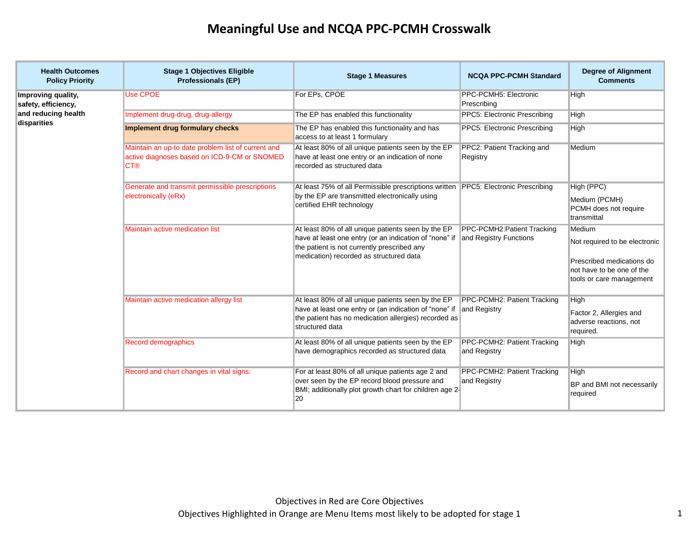| <b>Health Outcomes</b><br><b>Policy Priority</b> | <b>Stage 1 Objectives Eligible</b><br><b>Professionals (EP)</b>                                                  | <b>Stage 1 Measures</b>                                                                                                                                                                                                       | <b>NCQA PPC-PCMH Standard</b>               | <b>Degree of Alignment</b><br><b>Comments</b>                                                                                 |
|--------------------------------------------------|------------------------------------------------------------------------------------------------------------------|-------------------------------------------------------------------------------------------------------------------------------------------------------------------------------------------------------------------------------|---------------------------------------------|-------------------------------------------------------------------------------------------------------------------------------|
| Improving quality,<br>safety, efficiency,        | <b>Use CPOE</b>                                                                                                  | For EPs, CPOE                                                                                                                                                                                                                 | PPC-PCMH5: Electronic<br>Prescribing        | High                                                                                                                          |
| and reducing health                              | Implement drug-drug, drug-allergy                                                                                | The EP has enabled this functionality                                                                                                                                                                                         | PPC5: Electronic Prescribing                | High                                                                                                                          |
| disparities                                      | Implement drug formulary checks                                                                                  | The EP has enabled this functionality and has<br>access to at least 1 formulary                                                                                                                                               | PPC5: Electronic Prescribing                | High                                                                                                                          |
|                                                  | Maintain an up-to date problem list of current and<br>active diagnoses based on ICD-9-CM or SNOMED<br><b>CT®</b> | At least 80% of all unique patients seen by the EP<br>have at least one entry or an indication of none<br>recorded as structured data                                                                                         | PPC2: Patient Tracking and<br>Registry      | Medium                                                                                                                        |
|                                                  | Generate and transmit permissible prescriptions<br>electronically (eRx)                                          | At least 75% of all Permissible prescriptions written<br>by the EP are transmitted electronically using<br>certified EHR technology                                                                                           | PPC5: Electronic Prescribing                | High (PPC)<br>Medium (PCMH)<br>PCMH does not require<br>transmittal                                                           |
|                                                  | <b>Maintain active medication list</b>                                                                           | At least 80% of all unique patients seen by the EP<br>have at least one entry (or an indication of "none" if and Registry Functions<br>the patient is not currently prescribed any<br>medication) recorded as structured data | PPC-PCMH2: Patient Tracking                 | Medium<br>Not required to be electronic<br>Prescribed medications do<br>not have to be one of the<br>tools or care management |
|                                                  | Maintain active medication allergy list                                                                          | At least 80% of all unique patients seen by the EP<br>have at least one entry or (an indication of "none" if and Registry<br>the patient has no medication allergies) recorded as<br>structured data                          | PPC-PCMH2: Patient Tracking                 | High<br>Factor 2, Allergies and<br>adverse reactions, not<br>required.                                                        |
|                                                  | Record demographics                                                                                              | At least 80% of all unique patients seen by the EP<br>have demographics recorded as structured data                                                                                                                           | PPC-PCMH2: Patient Tracking<br>and Registry | High                                                                                                                          |
|                                                  | Record and chart changes in vital signs:                                                                         | For at least 80% of all unique patients age 2 and<br>over seen by the EP record blood pressure and<br>BMI; additionally plot growth chart for children age 2-<br>20                                                           | PPC-PCMH2: Patient Tracking<br>and Registry | High<br>BP and BMI not necessarily<br>required                                                                                |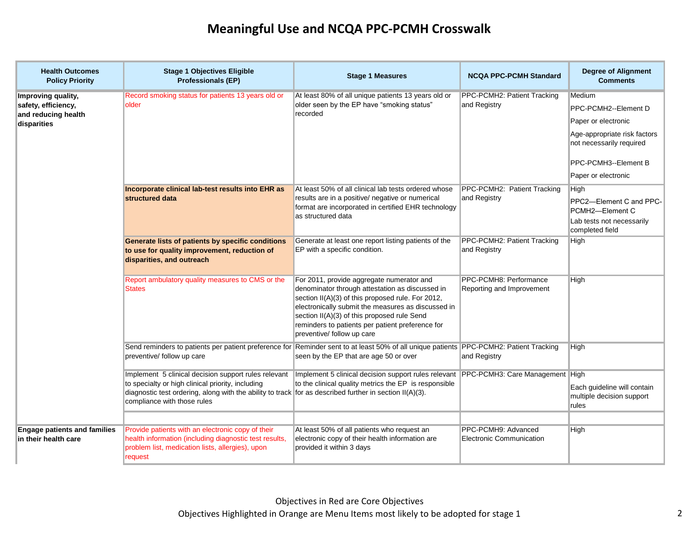| <b>Health Outcomes</b><br><b>Policy Priority</b>                                | <b>Stage 1 Objectives Eligible</b><br><b>Professionals (EP)</b>                                                                                                                                                                                                                                                                             | <b>Stage 1 Measures</b>                                                                                                                                                                                                                                                                                                                  | <b>NCQA PPC-PCMH Standard</b>                          | <b>Degree of Alignment</b><br><b>Comments</b>                                                                                             |
|---------------------------------------------------------------------------------|---------------------------------------------------------------------------------------------------------------------------------------------------------------------------------------------------------------------------------------------------------------------------------------------------------------------------------------------|------------------------------------------------------------------------------------------------------------------------------------------------------------------------------------------------------------------------------------------------------------------------------------------------------------------------------------------|--------------------------------------------------------|-------------------------------------------------------------------------------------------------------------------------------------------|
| Improving quality,<br>safety, efficiency,<br>and reducing health<br>disparities | Record smoking status for patients 13 years old or<br>older                                                                                                                                                                                                                                                                                 | At least 80% of all unique patients 13 years old or<br>older seen by the EP have "smoking status"<br>recorded                                                                                                                                                                                                                            | PPC-PCMH2: Patient Tracking<br>and Registry            | Medium<br>PPC-PCMH2--Element D<br>Paper or electronic<br>Age-appropriate risk factors<br>not necessarily required<br>PPC-PCMH3--Element B |
|                                                                                 | Incorporate clinical lab-test results into EHR as<br>structured data                                                                                                                                                                                                                                                                        | At least 50% of all clinical lab tests ordered whose<br>results are in a positive/ negative or numerical<br>format are incorporated in certified EHR technology<br>as structured data                                                                                                                                                    | PPC-PCMH2: Patient Tracking<br>and Registry            | Paper or electronic<br>High<br>PPC2-Element C and PPC-<br>PCMH2-Element C<br>Lab tests not necessarily<br>completed field                 |
|                                                                                 | Generate lists of patients by specific conditions<br>to use for quality improvement, reduction of<br>disparities, and outreach                                                                                                                                                                                                              | Generate at least one report listing patients of the<br>EP with a specific condition.                                                                                                                                                                                                                                                    | PPC-PCMH2: Patient Tracking<br>and Registry            | High                                                                                                                                      |
|                                                                                 | Report ambulatory quality measures to CMS or the<br><b>States</b>                                                                                                                                                                                                                                                                           | For 2011, provide aggregate numerator and<br>denominator through attestation as discussed in<br>section II(A)(3) of this proposed rule. For 2012,<br>electronically submit the measures as discussed in<br>section II(A)(3) of this proposed rule Send<br>reminders to patients per patient preference for<br>preventive/ follow up care | PPC-PCMH8: Performance<br>Reporting and Improvement    | High                                                                                                                                      |
|                                                                                 | Send reminders to patients per patient preference for Reminder sent to at least 50% of all unique patients PPC-PCMH2: Patient Tracking<br>preventive/ follow up care                                                                                                                                                                        | seen by the EP that are age 50 or over                                                                                                                                                                                                                                                                                                   | and Registry                                           | High                                                                                                                                      |
|                                                                                 | Implement 5 clinical decision support rules relevant Implement 5 clinical decision support rules relevant PPC-PCMH3: Care Management High<br>to specialty or high clinical priority, including<br>diagnostic test ordering, along with the ability to track for as described further in section $II(A)(3)$ .<br>compliance with those rules | to the clinical quality metrics the EP is responsible                                                                                                                                                                                                                                                                                    |                                                        | Each guideline will contain<br>multiple decision support<br>rules                                                                         |
|                                                                                 |                                                                                                                                                                                                                                                                                                                                             |                                                                                                                                                                                                                                                                                                                                          |                                                        |                                                                                                                                           |
| <b>Engage patients and families</b><br>in their health care                     | Provide patients with an electronic copy of their<br>health information (including diagnostic test results,<br>problem list, medication lists, allergies), upon<br>request                                                                                                                                                                  | At least 50% of all patients who request an<br>electronic copy of their health information are<br>provided it within 3 days                                                                                                                                                                                                              | PPC-PCMH9: Advanced<br><b>Electronic Communication</b> | High                                                                                                                                      |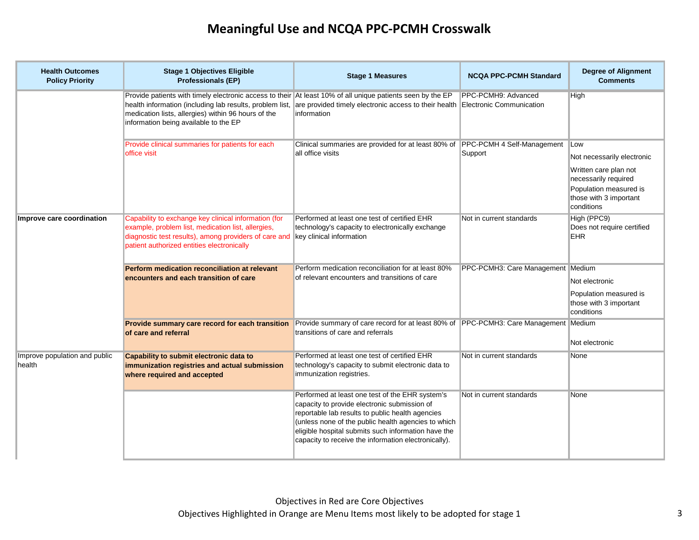| <b>Health Outcomes</b><br><b>Policy Priority</b> | <b>Stage 1 Objectives Eligible</b><br><b>Professionals (EP)</b>                                                                                                                                                                                                                                                                                       | <b>Stage 1 Measures</b>                                                                                                                                                                                                                                                                                                   | <b>NCQA PPC-PCMH Standard</b>     | <b>Degree of Alignment</b><br><b>Comments</b>                                                                                                               |
|--------------------------------------------------|-------------------------------------------------------------------------------------------------------------------------------------------------------------------------------------------------------------------------------------------------------------------------------------------------------------------------------------------------------|---------------------------------------------------------------------------------------------------------------------------------------------------------------------------------------------------------------------------------------------------------------------------------------------------------------------------|-----------------------------------|-------------------------------------------------------------------------------------------------------------------------------------------------------------|
|                                                  | Provide patients with timely electronic access to their At least 10% of all unique patients seen by the EP<br>health information (including lab results, problem list, are provided timely electronic access to their health Electronic Communication<br>medication lists, allergies) within 96 hours of the<br>information being available to the EP | information                                                                                                                                                                                                                                                                                                               | PPC-PCMH9: Advanced               | High                                                                                                                                                        |
|                                                  | Provide clinical summaries for patients for each<br>office visit                                                                                                                                                                                                                                                                                      | Clinical summaries are provided for at least 80% of PPC-PCMH 4 Self-Management<br>all office visits                                                                                                                                                                                                                       | Support                           | <b>Low</b><br>Not necessarily electronic<br>Written care plan not<br>necessarily required<br>Population measured is<br>those with 3 important<br>conditions |
| Improve care coordination                        | Capability to exchange key clinical information (for<br>example, problem list, medication list, allergies,<br>diagnostic test results), among providers of care and key clinical information<br>patient authorized entities electronically                                                                                                            | Performed at least one test of certified EHR<br>technology's capacity to electronically exchange                                                                                                                                                                                                                          | Not in current standards          | High (PPC9)<br>Does not require certified<br>EHR.                                                                                                           |
|                                                  | Perform medication reconciliation at relevant<br>encounters and each transition of care                                                                                                                                                                                                                                                               | Perform medication reconciliation for at least 80%<br>of relevant encounters and transitions of care                                                                                                                                                                                                                      | PPC-PCMH3: Care Management Medium | Not electronic<br>Population measured is<br>those with 3 important<br>conditions                                                                            |
|                                                  | Provide summary care record for each transition<br>of care and referral                                                                                                                                                                                                                                                                               | Provide summary of care record for at least 80% of PPC-PCMH3: Care Management Medium<br>transitions of care and referrals                                                                                                                                                                                                 |                                   | Not electronic                                                                                                                                              |
| Improve population and public<br>health          | Capability to submit electronic data to<br>immunization registries and actual submission<br>where required and accepted                                                                                                                                                                                                                               | Performed at least one test of certified EHR<br>technology's capacity to submit electronic data to<br>immunization registries.                                                                                                                                                                                            | Not in current standards          | None                                                                                                                                                        |
|                                                  |                                                                                                                                                                                                                                                                                                                                                       | Performed at least one test of the EHR system's<br>capacity to provide electronic submission of<br>reportable lab results to public health agencies<br>(unless none of the public health agencies to which<br>eligible hospital submits such information have the<br>capacity to receive the information electronically). | Not in current standards          | None                                                                                                                                                        |